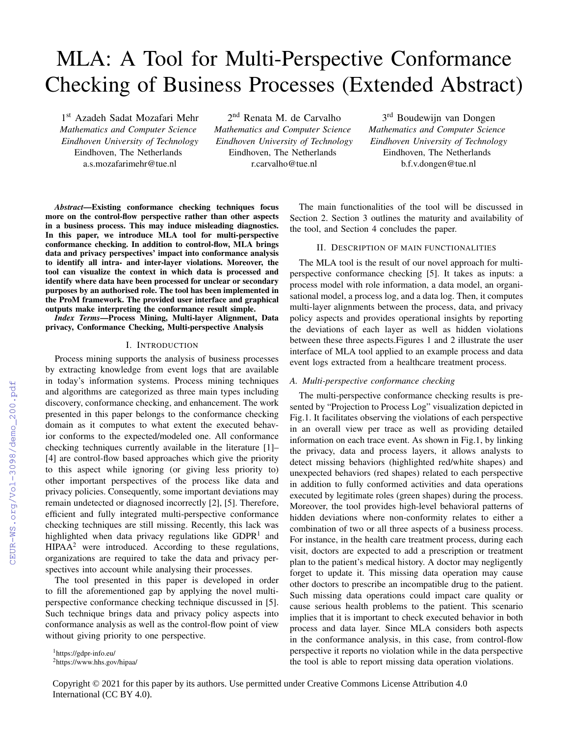# MLA: A Tool for Multi-Perspective Conformance Checking of Business Processes (Extended Abstract)

1 st Azadeh Sadat Mozafari Mehr *Mathematics and Computer Science Eindhoven University of Technology* Eindhoven, The Netherlands a.s.mozafarimehr@tue.nl

2<sup>nd</sup> Renata M. de Carvalho *Mathematics and Computer Science Eindhoven University of Technology* Eindhoven, The Netherlands r.carvalho@tue.nl

3<sup>rd</sup> Boudewijn van Dongen *Mathematics and Computer Science Eindhoven University of Technology* Eindhoven, The Netherlands b.f.v.dongen@tue.nl

*Abstract*—Existing conformance checking techniques focus more on the control-flow perspective rather than other aspects in a business process. This may induce misleading diagnostics. In this paper, we introduce MLA tool for multi-perspective conformance checking. In addition to control-flow, MLA brings data and privacy perspectives' impact into conformance analysis to identify all intra- and inter-layer violations. Moreover, the tool can visualize the context in which data is processed and identify where data have been processed for unclear or secondary purposes by an authorised role. The tool has been implemented in the ProM framework. The provided user interface and graphical outputs make interpreting the conformance result simple.

*Index Terms*—Process Mining, Multi-layer Alignment, Data privacy, Conformance Checking, Multi-perspective Analysis

### I. INTRODUCTION

Process mining supports the analysis of business processes by extracting knowledge from event logs that are available in today's information systems. Process mining techniques and algorithms are categorized as three main types including discovery, conformance checking, and enhancement. The work presented in this paper belongs to the conformance checking domain as it computes to what extent the executed behavior conforms to the expected/modeled one. All conformance checking techniques currently available in the literature [1]– [4] are control-flow based approaches which give the priority to this aspect while ignoring (or giving less priority to) other important perspectives of the process like data and privacy policies. Consequently, some important deviations may remain undetected or diagnosed incorrectly [2], [5]. Therefore, efficient and fully integrated multi-perspective conformance checking techniques are still missing. Recently, this lack was highlighted when data privacy regulations like GDPR<sup>1</sup> and  $HIPAA<sup>2</sup>$  were introduced. According to these regulations, organizations are required to take the data and privacy perspectives into account while analysing their processes.

The tool presented in this paper is developed in order to fill the aforementioned gap by applying the novel multiperspective conformance checking technique discussed in [5]. Such technique brings data and privacy policy aspects into conformance analysis as well as the control-flow point of view without giving priority to one perspective.

<sup>1</sup>https://gdpr-info.eu/

The main functionalities of the tool will be discussed in Section 2. Section 3 outlines the maturity and availability of the tool, and Section 4 concludes the paper.

# II. DESCRIPTION OF MAIN FUNCTIONALITIES

The MLA tool is the result of our novel approach for multiperspective conformance checking [5]. It takes as inputs: a process model with role information, a data model, an organisational model, a process log, and a data log. Then, it computes multi-layer alignments between the process, data, and privacy policy aspects and provides operational insights by reporting the deviations of each layer as well as hidden violations between these three aspects.Figures 1 and 2 illustrate the user interface of MLA tool applied to an example process and data event logs extracted from a healthcare treatment process.

## *A. Multi-perspective conformance checking*

The multi-perspective conformance checking results is presented by "Projection to Process Log" visualization depicted in Fig.1. It facilitates observing the violations of each perspective in an overall view per trace as well as providing detailed information on each trace event. As shown in Fig.1, by linking the privacy, data and process layers, it allows analysts to detect missing behaviors (highlighted red/white shapes) and unexpected behaviors (red shapes) related to each perspective in addition to fully conformed activities and data operations executed by legitimate roles (green shapes) during the process. Moreover, the tool provides high-level behavioral patterns of hidden deviations where non-conformity relates to either a combination of two or all three aspects of a business process. For instance, in the health care treatment process, during each visit, doctors are expected to add a prescription or treatment plan to the patient's medical history. A doctor may negligently forget to update it. This missing data operation may cause other doctors to prescribe an incompatible drug to the patient. Such missing data operations could impact care quality or cause serious health problems to the patient. This scenario implies that it is important to check executed behavior in both process and data layer. Since MLA considers both aspects in the conformance analysis, in this case, from control-flow perspective it reports no violation while in the data perspective the tool is able to report missing data operation violations.

<sup>2</sup>https://www.hhs.gov/hipaa/